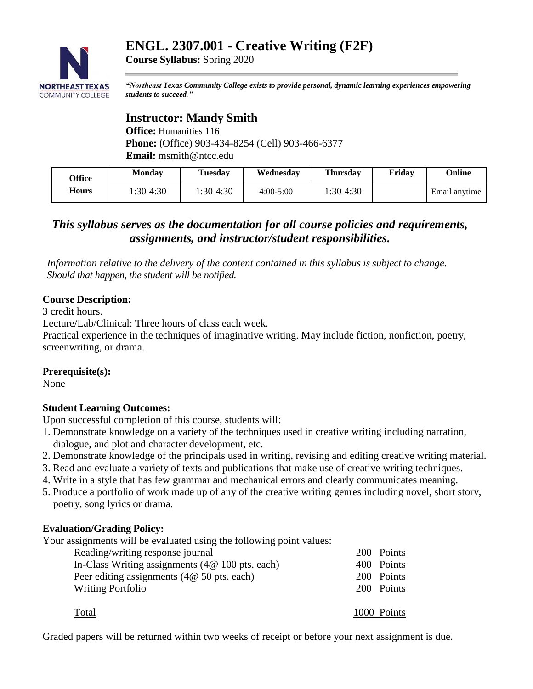# **ENGL. 2307.001 - Creative Writing (F2F)**



**Course Syllabus:** Spring 2020

*"Northeast Texas Community College exists to provide personal, dynamic learning experiences empowering students to succeed."*

## **Instructor: Mandy Smith**

**Office:** Humanities 116 **Phone:** (Office) 903-434-8254 (Cell) 903-466-6377 **Email:** msmith@ntcc.edu

| <b>Office</b> | <b>Monday</b> | Tuesdav   | Wednesday   | Thursdav  | Fridav | Online        |
|---------------|---------------|-----------|-------------|-----------|--------|---------------|
| Hours         | 1:30-4:30     | 1:30-4:30 | $4:00-5:00$ | 1:30-4:30 |        | Email anytime |

## *This syllabus serves as the documentation for all course policies and requirements, assignments, and instructor/student responsibilities.*

*Information relative to the delivery of the content contained in this syllabus is subject to change. Should that happen, the student will be notified.*

#### **Course Description:**

3 credit hours.

Lecture/Lab/Clinical: Three hours of class each week.

Practical experience in the techniques of imaginative writing. May include fiction, nonfiction, poetry, screenwriting, or drama.

#### **Prerequisite(s):**

None

#### **Student Learning Outcomes:**

Upon successful completion of this course, students will:

- 1. Demonstrate knowledge on a variety of the techniques used in creative writing including narration, dialogue, and plot and character development, etc.
- 2. Demonstrate knowledge of the principals used in writing, revising and editing creative writing material.
- 3. Read and evaluate a variety of texts and publications that make use of creative writing techniques.
- 4. Write in a style that has few grammar and mechanical errors and clearly communicates meaning.
- 5. Produce a portfolio of work made up of any of the creative writing genres including novel, short story, poetry, song lyrics or drama.

#### **Evaluation/Grading Policy:**

Your assignments will be evaluated using the following point values:

| Reading/writing response journal                  | 200 Points  |
|---------------------------------------------------|-------------|
| In-Class Writing assignments $(4@ 100$ pts. each) | 400 Points  |
| Peer editing assignments $(4@50$ pts. each)       | 200 Points  |
| <b>Writing Portfolio</b>                          | 200 Points  |
|                                                   |             |
| Total                                             | 1000 Points |

Graded papers will be returned within two weeks of receipt or before your next assignment is due.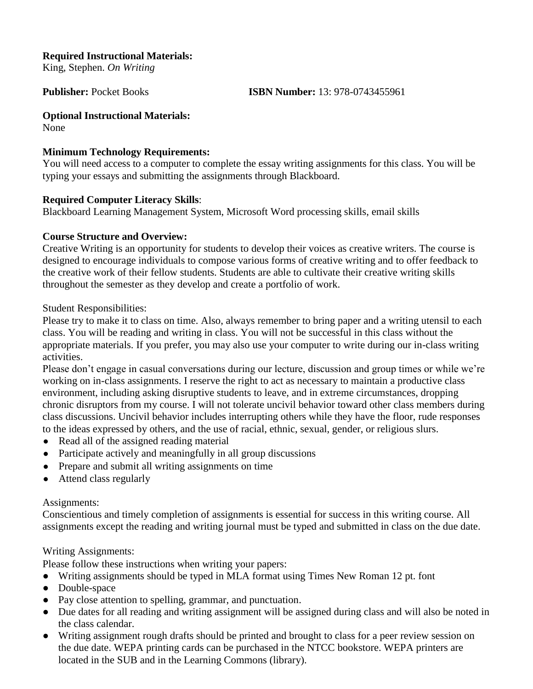#### **Required Instructional Materials:**

King, Stephen. *On Writing*

**Publisher:** Pocket Books **ISBN Number:** 13: 978-0743455961

**Optional Instructional Materials:**

None

#### **Minimum Technology Requirements:**

You will need access to a computer to complete the essay writing assignments for this class. You will be typing your essays and submitting the assignments through Blackboard.

#### **Required Computer Literacy Skills**:

Blackboard Learning Management System, Microsoft Word processing skills, email skills

#### **Course Structure and Overview:**

Creative Writing is an opportunity for students to develop their voices as creative writers. The course is designed to encourage individuals to compose various forms of creative writing and to offer feedback to the creative work of their fellow students. Students are able to cultivate their creative writing skills throughout the semester as they develop and create a portfolio of work.

Student Responsibilities:

Please try to make it to class on time. Also, always remember to bring paper and a writing utensil to each class. You will be reading and writing in class. You will not be successful in this class without the appropriate materials. If you prefer, you may also use your computer to write during our in-class writing activities.

Please don't engage in casual conversations during our lecture, discussion and group times or while we're working on in-class assignments. I reserve the right to act as necessary to maintain a productive class environment, including asking disruptive students to leave, and in extreme circumstances, dropping chronic disruptors from my course. I will not tolerate uncivil behavior toward other class members during class discussions. Uncivil behavior includes interrupting others while they have the floor, rude responses to the ideas expressed by others, and the use of racial, ethnic, sexual, gender, or religious slurs.

- Read all of the assigned reading material
- Participate actively and meaningfully in all group discussions
- Prepare and submit all writing assignments on time
- Attend class regularly

#### Assignments:

Conscientious and timely completion of assignments is essential for success in this writing course. All assignments except the reading and writing journal must be typed and submitted in class on the due date.

## Writing Assignments:

Please follow these instructions when writing your papers:

- Writing assignments should be typed in MLA format using Times New Roman 12 pt. font
- Double-space
- Pay close attention to spelling, grammar, and punctuation.
- Due dates for all reading and writing assignment will be assigned during class and will also be noted in the class calendar.
- Writing assignment rough drafts should be printed and brought to class for a peer review session on the due date. WEPA printing cards can be purchased in the NTCC bookstore. WEPA printers are located in the SUB and in the Learning Commons (library).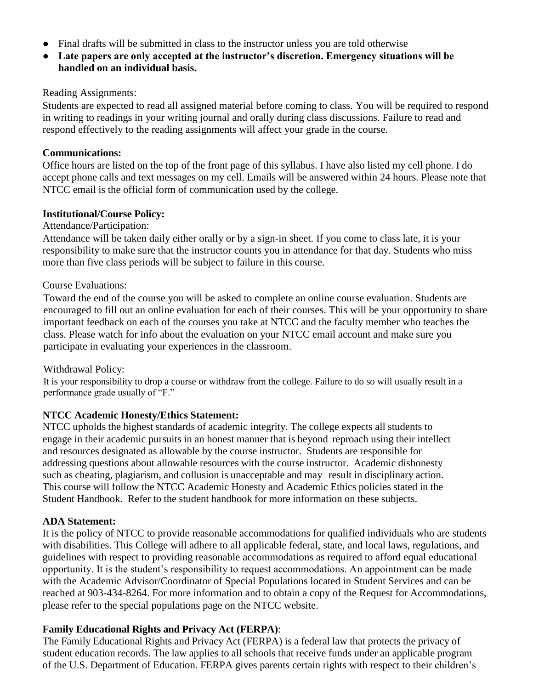- Final drafts will be submitted in class to the instructor unless you are told otherwise
- **Late papers are only accepted at the instructor's discretion. Emergency situations will be handled on an individual basis.**

#### Reading Assignments:

Students are expected to read all assigned material before coming to class. You will be required to respond in writing to readings in your writing journal and orally during class discussions. Failure to read and respond effectively to the reading assignments will affect your grade in the course.

#### **Communications:**

Office hours are listed on the top of the front page of this syllabus. I have also listed my cell phone. I do accept phone calls and text messages on my cell. Emails will be answered within 24 hours. Please note that NTCC email is the official form of communication used by the college.

## **Institutional/Course Policy:**

Attendance/Participation:

Attendance will be taken daily either orally or by a sign-in sheet. If you come to class late, it is your responsibility to make sure that the instructor counts you in attendance for that day. Students who miss more than five class periods will be subject to failure in this course.

#### Course Evaluations:

Toward the end of the course you will be asked to complete an online course evaluation. Students are encouraged to fill out an online evaluation for each of their courses. This will be your opportunity to share important feedback on each of the courses you take at NTCC and the faculty member who teaches the class. Please watch for info about the evaluation on your NTCC email account and make sure you participate in evaluating your experiences in the classroom.

## Withdrawal Policy:

It is your responsibility to drop a course or withdraw from the college. Failure to do so will usually result in a performance grade usually of "F."

## **NTCC Academic Honesty/Ethics Statement:**

NTCC upholds the highest standards of academic integrity. The college expects all students to engage in their academic pursuits in an honest manner that is beyond reproach using their intellect and resources designated as allowable by the course instructor. Students are responsible for addressing questions about allowable resources with the course instructor. Academic dishonesty such as cheating, plagiarism, and collusion is unacceptable and may result in disciplinary action. This course will follow the NTCC Academic Honesty and Academic Ethics policies stated in the Student Handbook. Refer to the student handbook for more information on these subjects.

#### **ADA Statement:**

It is the policy of NTCC to provide reasonable accommodations for qualified individuals who are students with disabilities. This College will adhere to all applicable federal, state, and local laws, regulations, and guidelines with respect to providing reasonable accommodations as required to afford equal educational opportunity. It is the student's responsibility to request accommodations. An appointment can be made with the Academic Advisor/Coordinator of Special Populations located in Student Services and can be reached at 903-434-8264. For more information and to obtain a copy of the Request for Accommodations, please refer to the special populations page on the NTCC websit[e.](http://www.ntcc.edu/index.php?module=Pagesetter&func=viewpub&tid=111&pid=1) 

## **Family Educational Rights and Privacy Act (FERPA)**:

The Family Educational Rights and Privacy Act (FERPA) is a federal law that protects the privacy of student education records. The law applies to all schools that receive funds under an applicable program of the U.S. Department of Education. FERPA gives parents certain rights with respect to their children's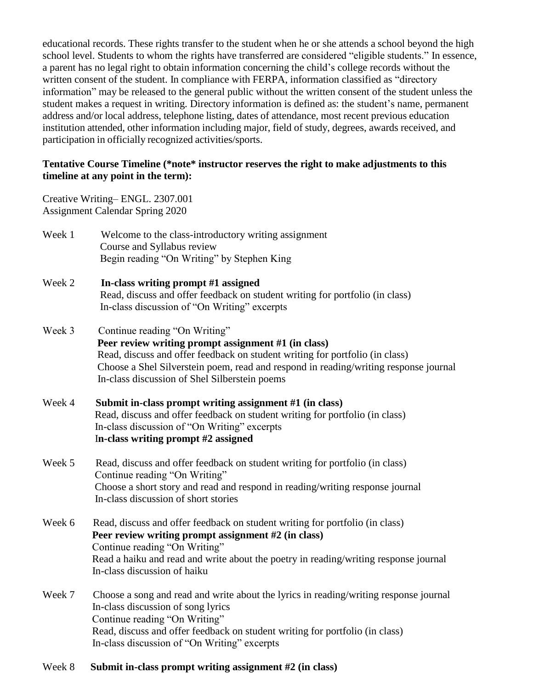educational records. These rights transfer to the student when he or she attends a school beyond the high school level. Students to whom the rights have transferred are considered "eligible students." In essence, a parent has no legal right to obtain information concerning the child's college records without the written consent of the student. In compliance with FERPA, information classified as "directory information" may be released to the general public without the written consent of the student unless the student makes a request in writing. Directory information is defined as: the student's name, permanent address and/or local address, telephone listing, dates of attendance, most recent previous education institution attended, other information including major, field of study, degrees, awards received, and participation in officially recognized activities/sports.

#### **Tentative Course Timeline (\*note\* instructor reserves the right to make adjustments to this timeline at any point in the term):**

Creative Writing– ENGL. 2307.001 Assignment Calendar Spring 2020

- Week 1 Welcome to the class-introductory writing assignment Course and Syllabus review Begin reading "On Writing" by Stephen King
- Week 2 **In-class writing prompt #1 assigned** Read, discuss and offer feedback on student writing for portfolio (in class) In-class discussion of "On Writing" excerpts
- Week 3 Continue reading "On Writing" **Peer review writing prompt assignment #1 (in class)** Read, discuss and offer feedback on student writing for portfolio (in class) Choose a Shel Silverstein poem, read and respond in reading/writing response journal In-class discussion of Shel Silberstein poems
- Week 4 **Submit in-class prompt writing assignment #1 (in class)** Read, discuss and offer feedback on student writing for portfolio (in class) In-class discussion of "On Writing" excerpts I**n-class writing prompt #2 assigned**
- Week 5 Read, discuss and offer feedback on student writing for portfolio (in class) Continue reading "On Writing" Choose a short story and read and respond in reading/writing response journal In-class discussion of short stories
- Week 6 Read, discuss and offer feedback on student writing for portfolio (in class)  **Peer review writing prompt assignment #2 (in class)** Continue reading "On Writing" Read a haiku and read and write about the poetry in reading/writing response journal In-class discussion of haiku
- Week 7 Choose a song and read and write about the lyrics in reading/writing response journal In-class discussion of song lyrics Continue reading "On Writing" Read, discuss and offer feedback on student writing for portfolio (in class) In-class discussion of "On Writing" excerpts
- Week 8 **Submit in-class prompt writing assignment #2 (in class)**